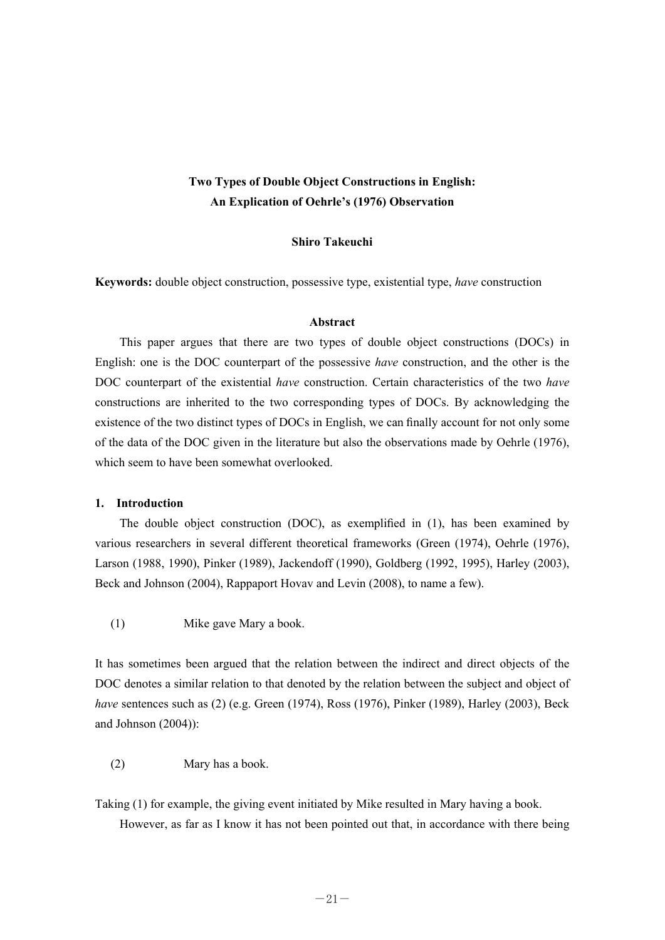# **Two Types of Double Object Constructions in English: An Explication of Oehrle's (1976) Observation**

## **Shiro Takeuchi**

**Keywords:** double object construction, possessive type, existential type, *have* construction

#### **Abstract**

 This paper argues that there are two types of double object constructions (DOCs) in English: one is the DOC counterpart of the possessive *have* construction, and the other is the DOC counterpart of the existential *have* construction. Certain characteristics of the two *have* constructions are inherited to the two corresponding types of DOCs. By acknowledging the existence of the two distinct types of DOCs in English, we can finally account for not only some of the data of the DOC given in the literature but also the observations made by Oehrle (1976), which seem to have been somewhat overlooked.

#### **1. Introduction**

 The double object construction (DOC), as exemplified in (1), has been examined by various researchers in several different theoretical frameworks (Green (1974), Oehrle (1976), Larson (1988, 1990), Pinker (1989), Jackendoff (1990), Goldberg (1992, 1995), Harley (2003), Beck and Johnson (2004), Rappaport Hovav and Levin (2008), to name a few).

(1) Mike gave Mary a book.

It has sometimes been argued that the relation between the indirect and direct objects of the DOC denotes a similar relation to that denoted by the relation between the subject and object of *have* sentences such as (2) (e.g. Green (1974), Ross (1976), Pinker (1989), Harley (2003), Beck and Johnson (2004)):

(2) Mary has a book.

Taking (1) for example, the giving event initiated by Mike resulted in Mary having a book. However, as far as I know it has not been pointed out that, in accordance with there being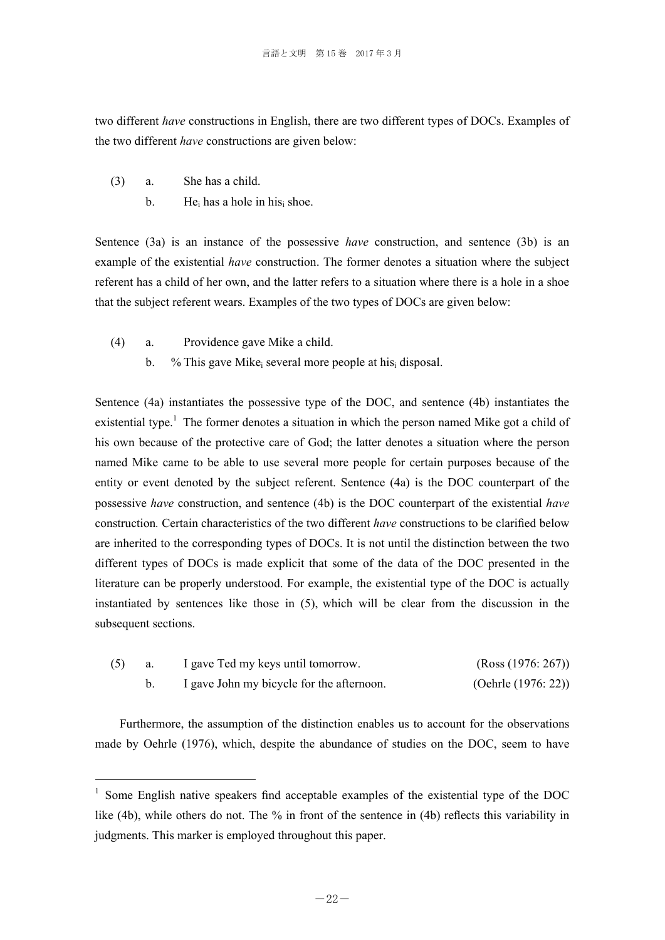two different *have* constructions in English, there are two different types of DOCs. Examples of the two different *have* constructions are given below:

(3) a. She has a child.

-

b. He<sub>i</sub> has a hole in his<sub>i</sub> shoe.

Sentence (3a) is an instance of the possessive *have* construction, and sentence (3b) is an example of the existential *have* construction. The former denotes a situation where the subject referent has a child of her own, and the latter refers to a situation where there is a hole in a shoe that the subject referent wears. Examples of the two types of DOCs are given below:

- (4) a. Providence gave Mike a child.
	- b. % This gave Mike several more people at his disposal.

Sentence (4a) instantiates the possessive type of the DOC, and sentence (4b) instantiates the existential type.<sup>1</sup> The former denotes a situation in which the person named Mike got a child of his own because of the protective care of God; the latter denotes a situation where the person named Mike came to be able to use several more people for certain purposes because of the entity or event denoted by the subject referent. Sentence (4a) is the DOC counterpart of the possessive *have* construction, and sentence (4b) is the DOC counterpart of the existential *have* construction*.* Certain characteristics of the two different *have* constructions to be clarified below are inherited to the corresponding types of DOCs. It is not until the distinction between the two different types of DOCs is made explicit that some of the data of the DOC presented in the literature can be properly understood. For example, the existential type of the DOC is actually instantiated by sentences like those in (5), which will be clear from the discussion in the subsequent sections.

| (5) | I gave Ted my keys until tomorrow.        | (Ross (1976: 267))     |
|-----|-------------------------------------------|------------------------|
|     | I gave John my bicycle for the afternoon. | (Oehrle $(1976: 22)$ ) |

 Furthermore, the assumption of the distinction enables us to account for the observations made by Oehrle (1976), which, despite the abundance of studies on the DOC, seem to have

<sup>&</sup>lt;sup>1</sup> Some English native speakers find acceptable examples of the existential type of the DOC like (4b), while others do not. The % in front of the sentence in (4b) reflects this variability in judgments. This marker is employed throughout this paper.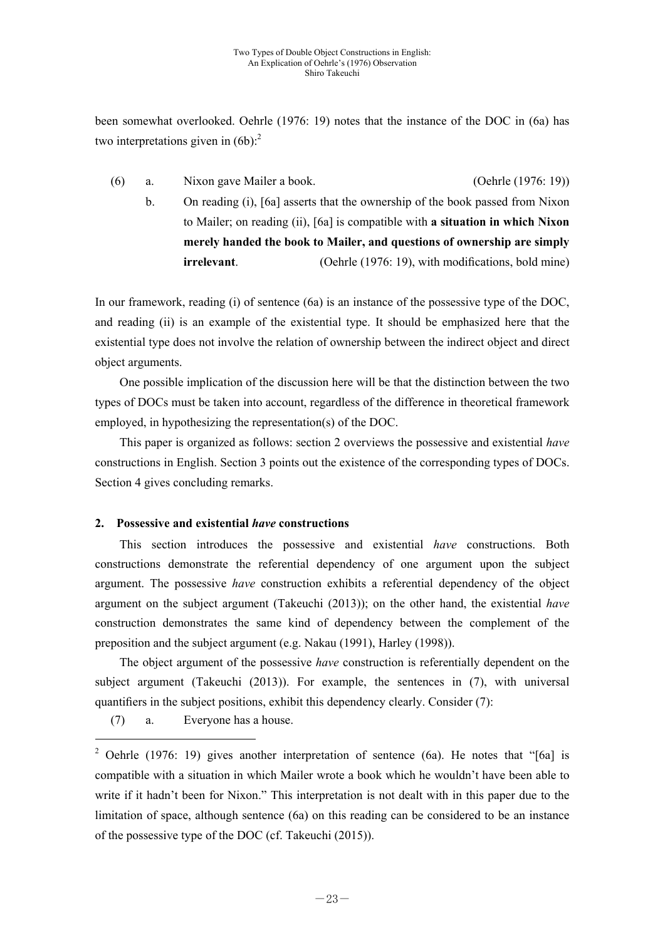been somewhat overlooked. Oehrle (1976: 19) notes that the instance of the DOC in (6a) has two interpretations given in  $(6b)$ :<sup>2</sup>

 (6) a. Nixon gave Mailer a book. (Oehrle (1976: 19)) b. On reading (i), [6a] asserts that the ownership of the book passed from Nixon to Mailer; on reading (ii), [6a] is compatible with **a situation in which Nixon merely handed the book to Mailer, and questions of ownership are simply** 

**irrelevant**. (Oehrle (1976: 19), with modifications, bold mine)

In our framework, reading (i) of sentence (6a) is an instance of the possessive type of the DOC, and reading (ii) is an example of the existential type. It should be emphasized here that the existential type does not involve the relation of ownership between the indirect object and direct object arguments.

 One possible implication of the discussion here will be that the distinction between the two types of DOCs must be taken into account, regardless of the difference in theoretical framework employed, in hypothesizing the representation(s) of the DOC.

 This paper is organized as follows: section 2 overviews the possessive and existential *have* constructions in English. Section 3 points out the existence of the corresponding types of DOCs. Section 4 gives concluding remarks.

## **2. Possessive and existential** *have* **constructions**

 This section introduces the possessive and existential *have* constructions. Both constructions demonstrate the referential dependency of one argument upon the subject argument. The possessive *have* construction exhibits a referential dependency of the object argument on the subject argument (Takeuchi (2013)); on the other hand, the existential *have* construction demonstrates the same kind of dependency between the complement of the preposition and the subject argument (e.g. Nakau (1991), Harley (1998)).

 The object argument of the possessive *have* construction is referentially dependent on the subject argument (Takeuchi (2013)). For example, the sentences in (7), with universal quantifiers in the subject positions, exhibit this dependency clearly. Consider (7):

(7) a. Everyone has a house.

-

<sup>&</sup>lt;sup>2</sup> Oehrle (1976: 19) gives another interpretation of sentence (6a). He notes that "[6a] is compatible with a situation in which Mailer wrote a book which he wouldn't have been able to write if it hadn't been for Nixon." This interpretation is not dealt with in this paper due to the limitation of space, although sentence (6a) on this reading can be considered to be an instance of the possessive type of the DOC (cf. Takeuchi (2015)).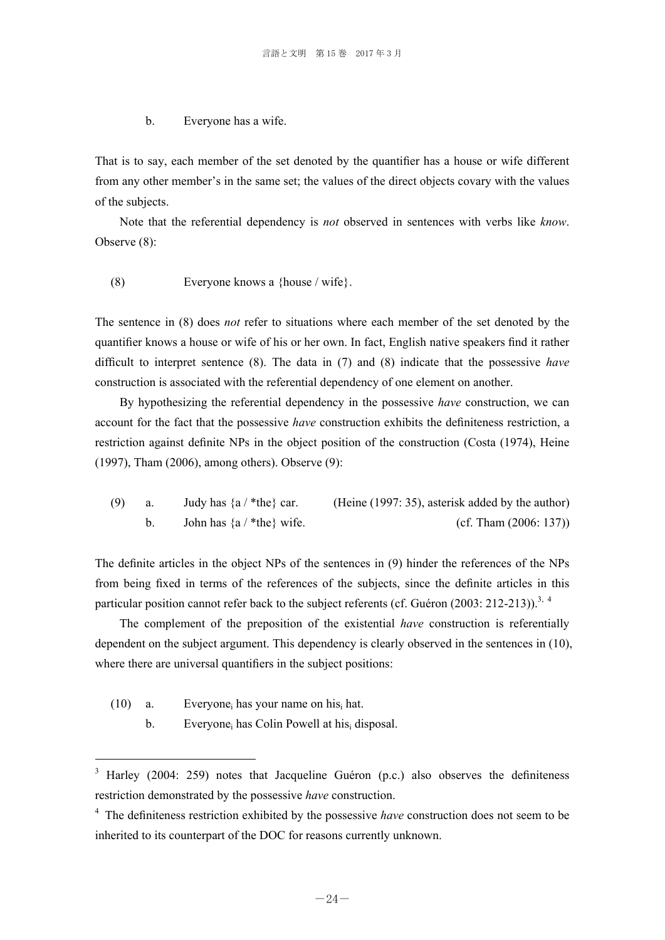#### b. Everyone has a wife.

That is to say, each member of the set denoted by the quantifier has a house or wife different from any other member's in the same set; the values of the direct objects covary with the values of the subjects.

 Note that the referential dependency is *not* observed in sentences with verbs like *know*. Observe (8):

(8) Everyone knows a {house / wife}.

The sentence in (8) does *not* refer to situations where each member of the set denoted by the quantifier knows a house or wife of his or her own. In fact, English native speakers find it rather difficult to interpret sentence (8). The data in (7) and (8) indicate that the possessive *have* construction is associated with the referential dependency of one element on another.

 By hypothesizing the referential dependency in the possessive *have* construction, we can account for the fact that the possessive *have* construction exhibits the definiteness restriction, a restriction against definite NPs in the object position of the construction (Costa (1974), Heine (1997), Tham (2006), among others). Observe (9):

(9) a. Judy has  $\{a / *the\}$  car. (Heine (1997: 35), asterisk added by the author) b. John has  $\{a \mid ^*the\}$  wife. (cf. Tham  $(2006: 137)$ )

The definite articles in the object NPs of the sentences in (9) hinder the references of the NPs from being fixed in terms of the references of the subjects, since the definite articles in this particular position cannot refer back to the subject referents (cf. Guéron  $(2003: 212-213)$ ).<sup>3, 4</sup>

 The complement of the preposition of the existential *have* construction is referentially dependent on the subject argument. This dependency is clearly observed in the sentences in (10), where there are universal quantifiers in the subject positions:

(10) a. Everyone<sub>i</sub> has your name on his hat.

-

b. Everyone<sub>i</sub> has Colin Powell at his<sub>i</sub> disposal.

<sup>3</sup> Harley (2004: 259) notes that Jacqueline Guéron (p.c.) also observes the definiteness restriction demonstrated by the possessive *have* construction.

<sup>&</sup>lt;sup>4</sup> The definiteness restriction exhibited by the possessive *have* construction does not seem to be inherited to its counterpart of the DOC for reasons currently unknown.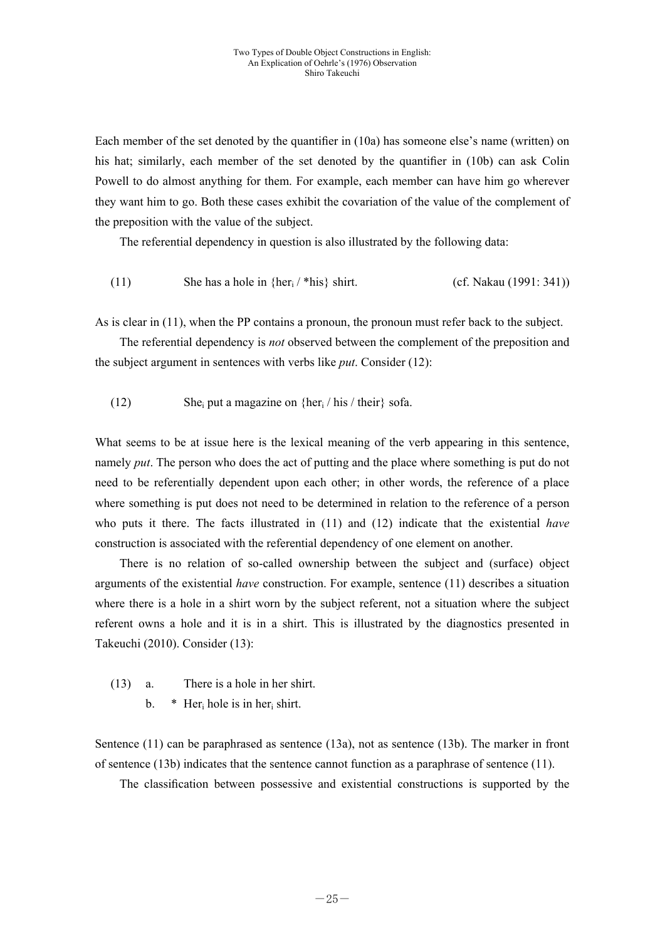Each member of the set denoted by the quantifier in (10a) has someone else's name (written) on his hat; similarly, each member of the set denoted by the quantifier in (10b) can ask Colin Powell to do almost anything for them. For example, each member can have him go wherever they want him to go. Both these cases exhibit the covariation of the value of the complement of the preposition with the value of the subject.

The referential dependency in question is also illustrated by the following data:

(11) She has a hole in  $\{her_i / *his\}$  shirt. (cf. Nakau (1991: 341))

As is clear in (11), when the PP contains a pronoun, the pronoun must refer back to the subject.

 The referential dependency is *not* observed between the complement of the preposition and the subject argument in sentences with verbs like *put*. Consider (12):

(12) She<sub>i</sub> put a magazine on  $\{her_i / his / their\}$  sofa.

What seems to be at issue here is the lexical meaning of the verb appearing in this sentence, namely *put*. The person who does the act of putting and the place where something is put do not need to be referentially dependent upon each other; in other words, the reference of a place where something is put does not need to be determined in relation to the reference of a person who puts it there. The facts illustrated in (11) and (12) indicate that the existential *have* construction is associated with the referential dependency of one element on another.

 There is no relation of so-called ownership between the subject and (surface) object arguments of the existential *have* construction. For example, sentence (11) describes a situation where there is a hole in a shirt worn by the subject referent, not a situation where the subject referent owns a hole and it is in a shirt. This is illustrated by the diagnostics presented in Takeuchi (2010). Consider (13):

- (13) a. There is a hole in her shirt.
	- b.  $*$  Her<sub>i</sub> hole is in her<sub>i</sub> shirt.

Sentence (11) can be paraphrased as sentence (13a), not as sentence (13b). The marker in front of sentence (13b) indicates that the sentence cannot function as a paraphrase of sentence (11).

The classification between possessive and existential constructions is supported by the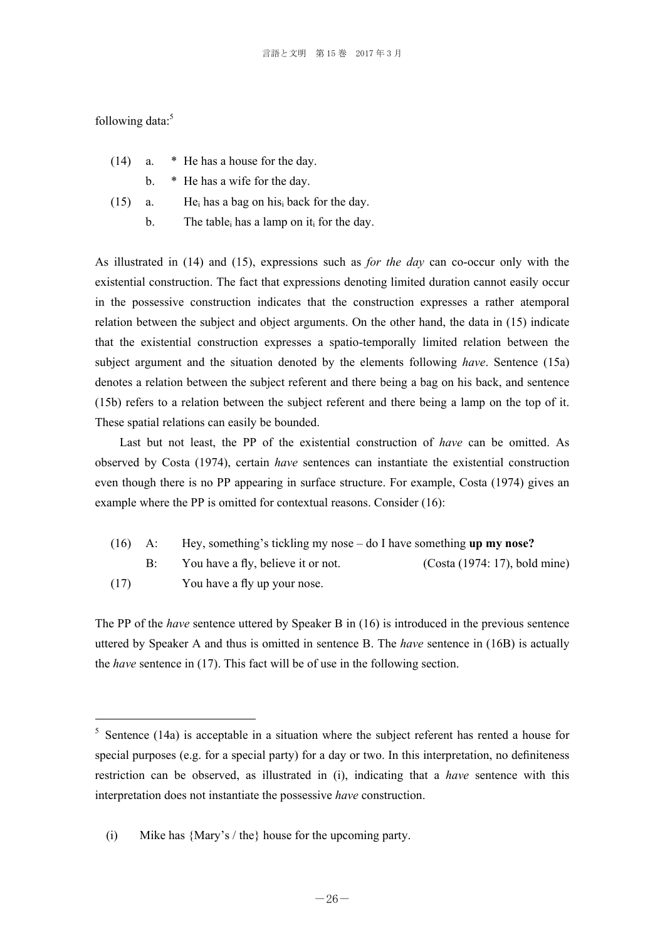following data: $5$ 

-

| (14) | * He has a house for the day. |
|------|-------------------------------|
|------|-------------------------------|

b. \* He has a wife for the day.

(15) a. He<sub>i</sub> has a bag on his<sub>i</sub> back for the day.

b. The table<sub>i</sub> has a lamp on it<sub>i</sub> for the day.

As illustrated in (14) and (15), expressions such as *for the day* can co-occur only with the existential construction. The fact that expressions denoting limited duration cannot easily occur in the possessive construction indicates that the construction expresses a rather atemporal relation between the subject and object arguments. On the other hand, the data in (15) indicate that the existential construction expresses a spatio-temporally limited relation between the subject argument and the situation denoted by the elements following *have*. Sentence (15a) denotes a relation between the subject referent and there being a bag on his back, and sentence (15b) refers to a relation between the subject referent and there being a lamp on the top of it. These spatial relations can easily be bounded.

 Last but not least, the PP of the existential construction of *have* can be omitted. As observed by Costa (1974), certain *have* sentences can instantiate the existential construction even though there is no PP appearing in surface structure. For example, Costa (1974) gives an example where the PP is omitted for contextual reasons. Consider (16):

| $(16)$ A: | Hey, something's tickling my nose $-\text{ do } I$ have something up my nose? |                               |  |
|-----------|-------------------------------------------------------------------------------|-------------------------------|--|
|           | You have a fly, believe it or not.                                            | (Costa (1974: 17), bold mine) |  |
| (17)      | You have a fly up your nose.                                                  |                               |  |

The PP of the *have* sentence uttered by Speaker B in (16) is introduced in the previous sentence uttered by Speaker A and thus is omitted in sentence B. The *have* sentence in (16B) is actually the *have* sentence in (17). This fact will be of use in the following section.

 $5$  Sentence (14a) is acceptable in a situation where the subject referent has rented a house for special purposes (e.g. for a special party) for a day or two. In this interpretation, no definiteness restriction can be observed, as illustrated in (i), indicating that a *have* sentence with this interpretation does not instantiate the possessive *have* construction.

 <sup>(</sup>i) Mike has {Mary's / the} house for the upcoming party.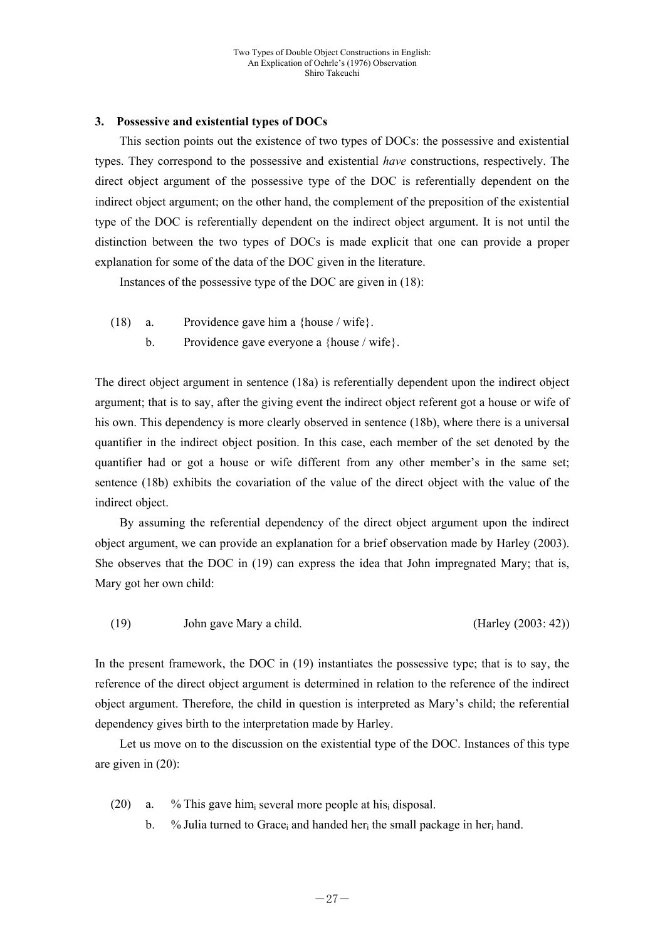# **3. Possessive and existential types of DOCs**

 This section points out the existence of two types of DOCs: the possessive and existential types. They correspond to the possessive and existential *have* constructions, respectively. The direct object argument of the possessive type of the DOC is referentially dependent on the indirect object argument; on the other hand, the complement of the preposition of the existential type of the DOC is referentially dependent on the indirect object argument. It is not until the distinction between the two types of DOCs is made explicit that one can provide a proper explanation for some of the data of the DOC given in the literature.

Instances of the possessive type of the DOC are given in (18):

- (18) a. Providence gave him a {house / wife}.
	- b. Providence gave everyone a {house / wife}.

The direct object argument in sentence (18a) is referentially dependent upon the indirect object argument; that is to say, after the giving event the indirect object referent got a house or wife of his own. This dependency is more clearly observed in sentence (18b), where there is a universal quantifier in the indirect object position. In this case, each member of the set denoted by the quantifier had or got a house or wife different from any other member's in the same set; sentence (18b) exhibits the covariation of the value of the direct object with the value of the indirect object.

 By assuming the referential dependency of the direct object argument upon the indirect object argument, we can provide an explanation for a brief observation made by Harley (2003). She observes that the DOC in (19) can express the idea that John impregnated Mary; that is, Mary got her own child:

(19) John gave Mary a child. (Harley (2003: 42))

In the present framework, the DOC in (19) instantiates the possessive type; that is to say, the reference of the direct object argument is determined in relation to the reference of the indirect object argument. Therefore, the child in question is interpreted as Mary's child; the referential dependency gives birth to the interpretation made by Harley.

 Let us move on to the discussion on the existential type of the DOC. Instances of this type are given in (20):

- (20) a. % This gave himi several more people at hisi disposal.
	- b. % Julia turned to Grace<sub>i</sub> and handed her<sub>i</sub> the small package in her<sub>i</sub> hand.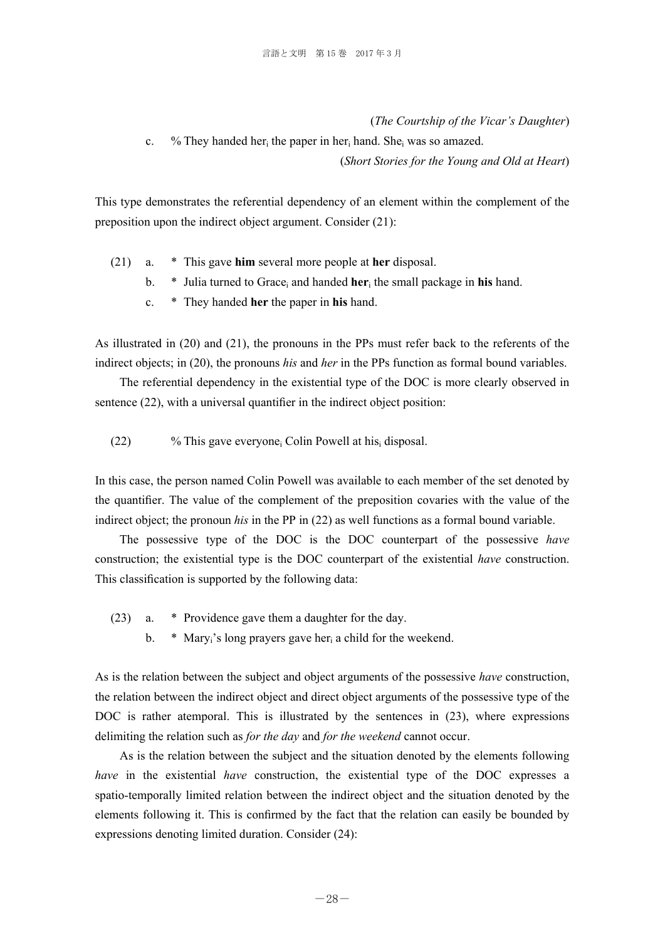(*The Courtship of the Vicar's Daughter*)

c. % They handed her<sub>i</sub> the paper in her<sub>i</sub> hand. She<sub>i</sub> was so amazed. (*Short Stories for the Young and Old at Heart*)

This type demonstrates the referential dependency of an element within the complement of the preposition upon the indirect object argument. Consider (21):

- (21) a. \* This gave **him** several more people at **her** disposal.
	- b.  $*$  Julia turned to Grace<sub>i</sub> and handed **her**<sub>i</sub> the small package in **his** hand.
	- c. \* They handed **her** the paper in **his** hand.

As illustrated in (20) and (21), the pronouns in the PPs must refer back to the referents of the indirect objects; in (20), the pronouns *his* and *her* in the PPs function as formal bound variables.

 The referential dependency in the existential type of the DOC is more clearly observed in sentence (22), with a universal quantifier in the indirect object position:

(22)  $\%$  This gave everyone<sub>i</sub> Colin Powell at his<sub>i</sub> disposal.

In this case, the person named Colin Powell was available to each member of the set denoted by the quantifier. The value of the complement of the preposition covaries with the value of the indirect object; the pronoun *his* in the PP in (22) as well functions as a formal bound variable.

 The possessive type of the DOC is the DOC counterpart of the possessive *have* construction; the existential type is the DOC counterpart of the existential *have* construction. This classification is supported by the following data:

- (23) a. \* Providence gave them a daughter for the day.
	- b.  $*$  Mary<sub>i</sub>'s long prayers gave her<sub>i</sub> a child for the weekend.

As is the relation between the subject and object arguments of the possessive *have* construction, the relation between the indirect object and direct object arguments of the possessive type of the DOC is rather atemporal. This is illustrated by the sentences in (23), where expressions delimiting the relation such as *for the day* and *for the weekend* cannot occur.

 As is the relation between the subject and the situation denoted by the elements following *have* in the existential *have* construction, the existential type of the DOC expresses a spatio-temporally limited relation between the indirect object and the situation denoted by the elements following it. This is confirmed by the fact that the relation can easily be bounded by expressions denoting limited duration. Consider (24):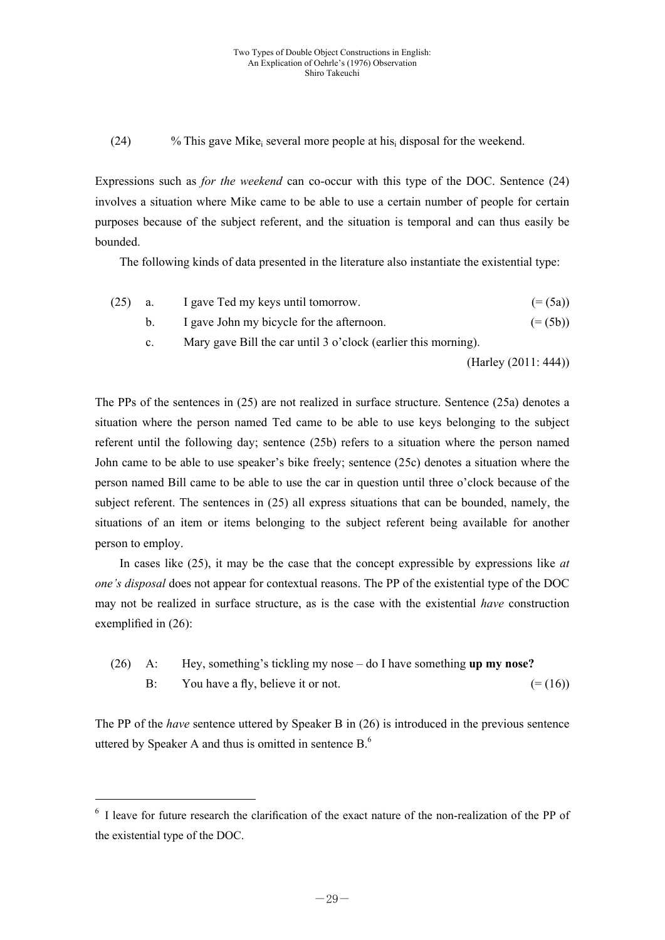(24)  $\%$  This gave Mike<sub>i</sub> several more people at his<sub>i</sub> disposal for the weekend.

Expressions such as *for the weekend* can co-occur with this type of the DOC. Sentence (24) involves a situation where Mike came to be able to use a certain number of people for certain purposes because of the subject referent, and the situation is temporal and can thus easily be bounded.

The following kinds of data presented in the literature also instantiate the existential type:

| (25) | a.          | I gave Ted my keys until tomorrow.                             | $(=(5a))$            |  |  |
|------|-------------|----------------------------------------------------------------|----------------------|--|--|
|      | $b_{1}$     | I gave John my bicycle for the afternoon.                      | $(=(5b))$            |  |  |
|      | $c_{\cdot}$ | Mary gave Bill the car until 3 o'clock (earlier this morning). |                      |  |  |
|      |             |                                                                | (Harley (2011: 444)) |  |  |

The PPs of the sentences in (25) are not realized in surface structure. Sentence (25a) denotes a situation where the person named Ted came to be able to use keys belonging to the subject referent until the following day; sentence (25b) refers to a situation where the person named John came to be able to use speaker's bike freely; sentence (25c) denotes a situation where the person named Bill came to be able to use the car in question until three o'clock because of the subject referent. The sentences in (25) all express situations that can be bounded, namely, the situations of an item or items belonging to the subject referent being available for another person to employ.

 In cases like (25), it may be the case that the concept expressible by expressions like *at one's disposal* does not appear for contextual reasons. The PP of the existential type of the DOC may not be realized in surface structure, as is the case with the existential *have* construction exemplified in (26):

 (26) A: Hey, something's tickling my nose – do I have something **up my nose? B:** You have a fly, believe it or not.  $(=(16))$ 

The PP of the *have* sentence uttered by Speaker B in (26) is introduced in the previous sentence uttered by Speaker A and thus is omitted in sentence  $B<sup>6</sup>$ .

-

<sup>&</sup>lt;sup>6</sup> I leave for future research the clarification of the exact nature of the non-realization of the PP of the existential type of the DOC.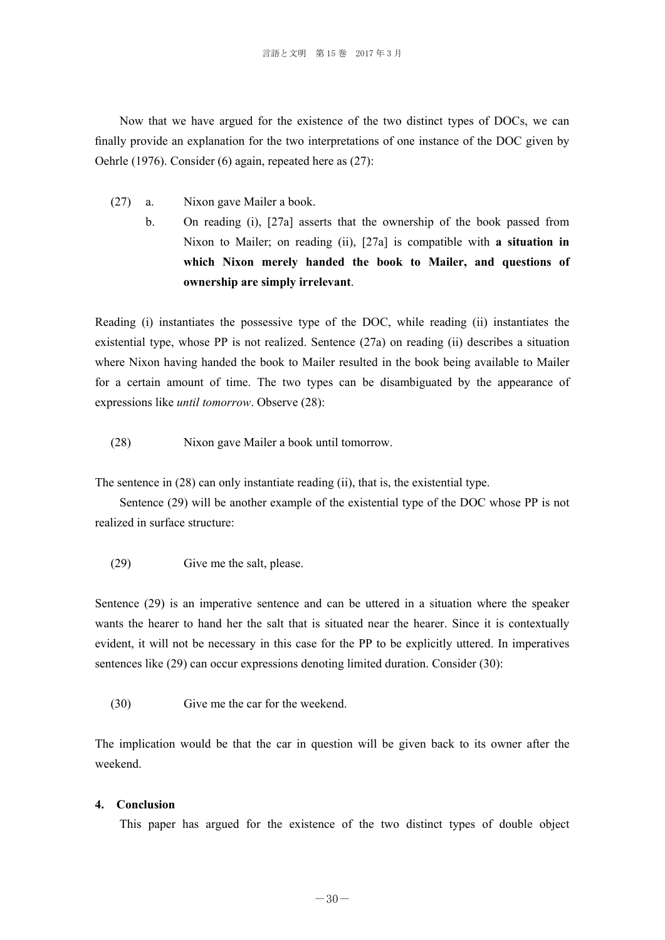Now that we have argued for the existence of the two distinct types of DOCs, we can finally provide an explanation for the two interpretations of one instance of the DOC given by Oehrle (1976). Consider (6) again, repeated here as (27):

- (27) a. Nixon gave Mailer a book.
	- b. On reading (i), [27a] asserts that the ownership of the book passed from Nixon to Mailer; on reading (ii), [27a] is compatible with **a situation in which Nixon merely handed the book to Mailer, and questions of ownership are simply irrelevant**.

Reading (i) instantiates the possessive type of the DOC, while reading (ii) instantiates the existential type, whose PP is not realized. Sentence (27a) on reading (ii) describes a situation where Nixon having handed the book to Mailer resulted in the book being available to Mailer for a certain amount of time. The two types can be disambiguated by the appearance of expressions like *until tomorrow*. Observe (28):

(28) Nixon gave Mailer a book until tomorrow.

The sentence in (28) can only instantiate reading (ii), that is, the existential type.

 Sentence (29) will be another example of the existential type of the DOC whose PP is not realized in surface structure:

(29) Give me the salt, please.

Sentence (29) is an imperative sentence and can be uttered in a situation where the speaker wants the hearer to hand her the salt that is situated near the hearer. Since it is contextually evident, it will not be necessary in this case for the PP to be explicitly uttered. In imperatives sentences like (29) can occur expressions denoting limited duration. Consider (30):

(30) Give me the car for the weekend.

The implication would be that the car in question will be given back to its owner after the weekend.

## **4. Conclusion**

This paper has argued for the existence of the two distinct types of double object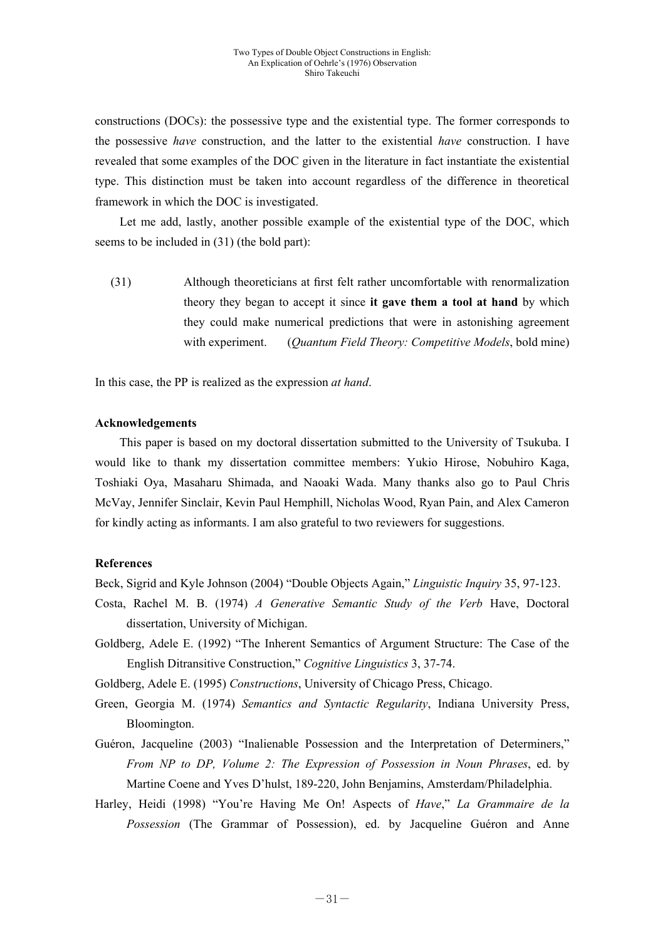constructions (DOCs): the possessive type and the existential type. The former corresponds to the possessive *have* construction, and the latter to the existential *have* construction. I have revealed that some examples of the DOC given in the literature in fact instantiate the existential type. This distinction must be taken into account regardless of the difference in theoretical framework in which the DOC is investigated.

 Let me add, lastly, another possible example of the existential type of the DOC, which seems to be included in (31) (the bold part):

 (31) Although theoreticians at first felt rather uncomfortable with renormalization theory they began to accept it since **it gave them a tool at hand** by which they could make numerical predictions that were in astonishing agreement with experiment. (*Quantum Field Theory: Competitive Models*, bold mine)

In this case, the PP is realized as the expression *at hand*.

## **Acknowledgements**

 This paper is based on my doctoral dissertation submitted to the University of Tsukuba. I would like to thank my dissertation committee members: Yukio Hirose, Nobuhiro Kaga, Toshiaki Oya, Masaharu Shimada, and Naoaki Wada. Many thanks also go to Paul Chris McVay, Jennifer Sinclair, Kevin Paul Hemphill, Nicholas Wood, Ryan Pain, and Alex Cameron for kindly acting as informants. I am also grateful to two reviewers for suggestions.

## **References**

Beck, Sigrid and Kyle Johnson (2004) "Double Objects Again," *Linguistic Inquiry* 35, 97-123.

- Costa, Rachel M. B. (1974) *A Generative Semantic Study of the Verb* Have, Doctoral dissertation, University of Michigan.
- Goldberg, Adele E. (1992) "The Inherent Semantics of Argument Structure: The Case of the English Ditransitive Construction," *Cognitive Linguistics* 3, 37-74.

Goldberg, Adele E. (1995) *Constructions*, University of Chicago Press, Chicago.

- Green, Georgia M. (1974) *Semantics and Syntactic Regularity*, Indiana University Press, Bloomington.
- Guéron, Jacqueline (2003) "Inalienable Possession and the Interpretation of Determiners," *From NP to DP, Volume 2: The Expression of Possession in Noun Phrases*, ed. by Martine Coene and Yves D'hulst, 189-220, John Benjamins, Amsterdam/Philadelphia.
- Harley, Heidi (1998) "You're Having Me On! Aspects of *Have*," *La Grammaire de la Possession* (The Grammar of Possession), ed. by Jacqueline Guéron and Anne